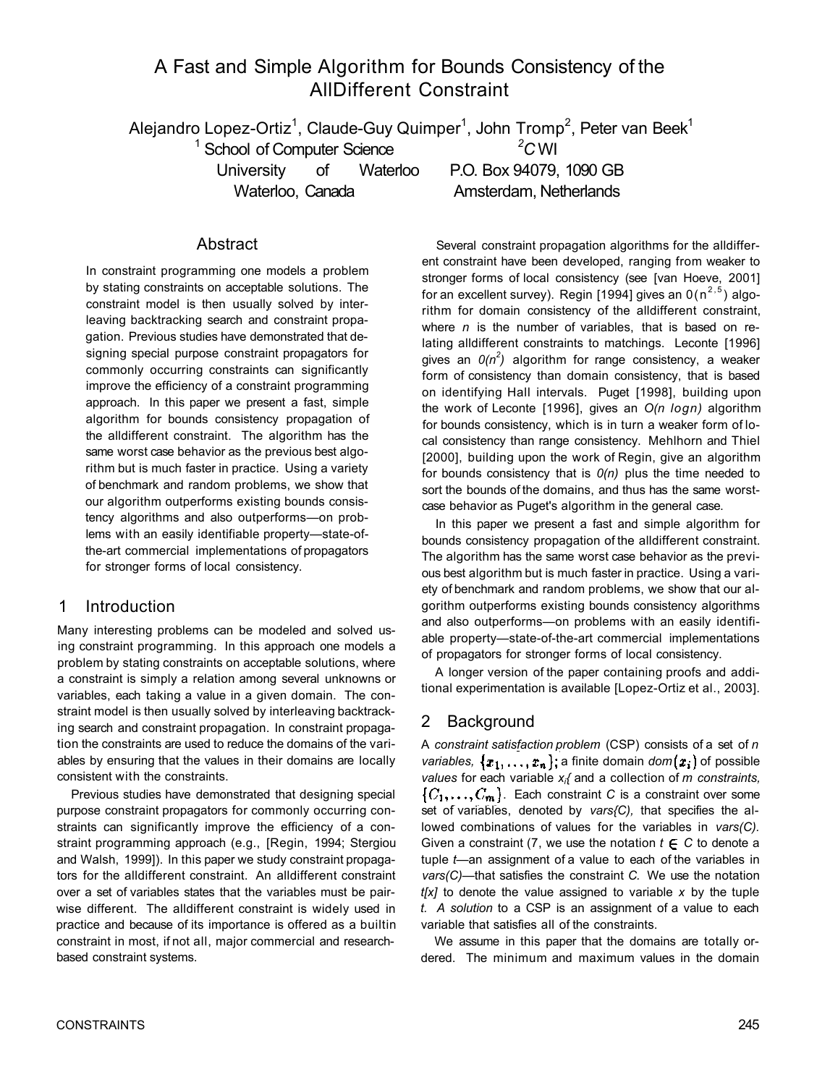# A Fast and Simple Algorithm for Bounds Consistency of the AllDifferent Constraint

Alejandro Lopez-Ortiz<sup>1</sup>, Claude-Guy Quimper<sup>1</sup>, John Tromp<sup>2</sup>, Peter van Beek<sup>1</sup>

<sup>1</sup> School of Computer Science

Waterloo, Canada **Amsterdam, Netherlands** 

University of Waterloo P.O. Box 94079, 1090 GB

*<sup>2</sup>C* WI

### Abstract

In constraint programming one models a problem by stating constraints on acceptable solutions. The constraint model is then usually solved by interleaving backtracking search and constraint propagation. Previous studies have demonstrated that designing special purpose constraint propagators for commonly occurring constraints can significantly improve the efficiency of a constraint programming approach. In this paper we present a fast, simple algorithm for bounds consistency propagation of the alldifferent constraint. The algorithm has the same worst case behavior as the previous best algorithm but is much faster in practice. Using a variety of benchmark and random problems, we show that our algorithm outperforms existing bounds consistency algorithms and also outperforms—on problems with an easily identifiable property—state-ofthe-art commercial implementations of propagators for stronger forms of local consistency.

### 1 Introduction

Many interesting problems can be modeled and solved using constraint programming. In this approach one models a problem by stating constraints on acceptable solutions, where a constraint is simply a relation among several unknowns or variables, each taking a value in a given domain. The constraint model is then usually solved by interleaving backtracking search and constraint propagation. In constraint propagation the constraints are used to reduce the domains of the variables by ensuring that the values in their domains are locally consistent with the constraints.

Previous studies have demonstrated that designing special purpose constraint propagators for commonly occurring constraints can significantly improve the efficiency of a constraint programming approach (e.g., [Regin, 1994; Stergiou and Walsh, 1999]). In this paper we study constraint propagators for the alldifferent constraint. An alldifferent constraint over a set of variables states that the variables must be pairwise different. The alldifferent constraint is widely used in practice and because of its importance is offered as a builtin constraint in most, if not all, major commercial and researchbased constraint systems.

Several constraint propagation algorithms for the alldifferent constraint have been developed, ranging from weaker to stronger forms of local consistency (see [van Hoeve, 2001] for an excellent survey). Regin [1994] gives an  $O(n^{2,5})$  algorithm for domain consistency of the alldifferent constraint, where *n* is the number of variables, that is based on relating alldifferent constraints to matchings. Leconte [1996] gives an *0(n<sup>2</sup> )* algorithm for range consistency, a weaker form of consistency than domain consistency, that is based on identifying Hall intervals. Puget [1998], building upon the work of Leconte [1996], gives an *O(n logn)* algorithm for bounds consistency, which is in turn a weaker form of local consistency than range consistency. Mehlhorn and Thiel [2000], building upon the work of Regin, give an algorithm for bounds consistency that is *0(n)* plus the time needed to sort the bounds of the domains, and thus has the same worstcase behavior as Puget's algorithm in the general case.

In this paper we present a fast and simple algorithm for bounds consistency propagation of the alldifferent constraint. The algorithm has the same worst case behavior as the previous best algorithm but is much faster in practice. Using a variety of benchmark and random problems, we show that our algorithm outperforms existing bounds consistency algorithms and also outperforms—on problems with an easily identifiable property—state-of-the-art commercial implementations of propagators for stronger forms of local consistency.

A longer version of the paper containing proofs and additional experimentation is available [Lopez-Ortiz et al., 2003].

## 2 Background

A *constraint satisfaction problem* (CSP) consists of a set of *n variables,*  $\{x_1, \ldots, x_n\}$ ; a finite domain  $dom(x_i)$  of possible *values* for each variable *xi{* and a collection of *m constraints,*   $\{C_1,\ldots,C_m\}$ . Each constraint C is a constraint over some set of variables, denoted by *vars{C),* that specifies the allowed combinations of values for the variables in *vars(C).*  Given a constraint  $(7,$  we use the notation  $t \in C$  to denote a tuple *t*—an assignment of a value to each of the variables in *vars(C)*—that satisfies the constraint *C.* We use the notation *t[x]* to denote the value assigned to variable *x* by the tuple *t. A solution* to a CSP is an assignment of a value to each variable that satisfies all of the constraints.

We assume in this paper that the domains are totally ordered. The minimum and maximum values in the domain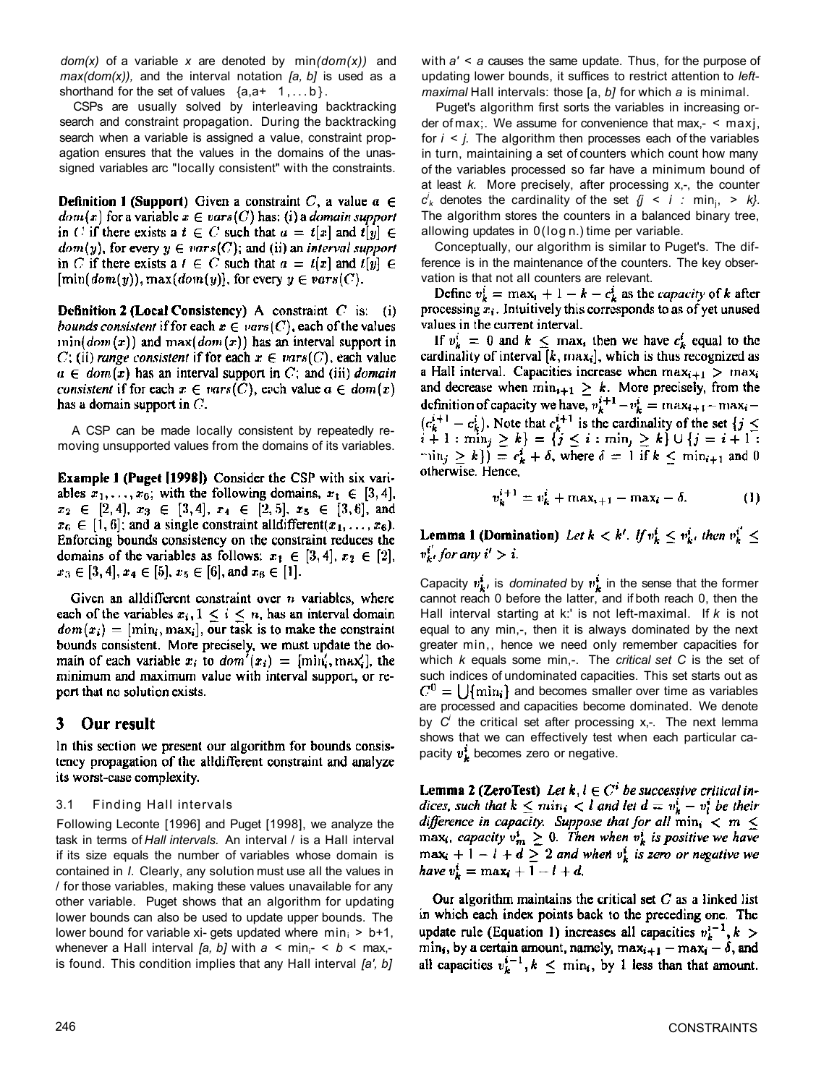*dom(x)* of a variable *x* are denoted by min*(dom(x))* and *max(dom(x)),* and the interval notation *[a, b]* is used as a shorthand for the set of values  $\{a, a+ 1, \ldots b\}$ .

CSPs are usually solved by interleaving backtracking search and constraint propagation. During the backtracking search when a variable is assigned a value, constraint propagation ensures that the values in the domains of the unassigned variables arc "locally consistent" with the constraints.

**Definition 1 (Support)** Given a constraint C, a value  $a \in$  $dom(x)$  for a variable  $x \in vars(C)$  has: (i) a *domain support* in *C* if there exists a  $t \in C$  such that  $a = t[x]$  and  $t[y] \in$  $dom(y)$ , for every  $y \in vars(C)$ ; and (ii) an interval support in C if there exists a  $t \in C$  such that  $a = t[x]$  and  $t[y] \in$  $[\min(\text{dom}(y)), \max(\text{dom}(y)],$  for every  $y \in \text{vars}(C)$ .

**Definition 2 (Local Consistency)** A constraint  $C$  is: (i) *bounds consistent* if for each  $x \in vars(C)$ , each of the values  $min(dom(x))$  and  $max(dom(x))$  has an interval support in C; (ii) range consistent if for each  $x \in vars(C)$ , each value  $a \in dom(x)$  has an interval support in C; and (iii) domain consistent if for each  $x \in \text{vars}(C)$ , each value  $a \in \text{dom}(x)$ has a domain support in  $C$ .

A CSP can be made locally consistent by repeatedly removing unsupported values from the domains of its variables.

**Example 1 (Puget [1998])** Consider the CSP with six variables  $x_1, \ldots, x_6$ ; with the following domains,  $x_1 \in [3, 4]$ ,  $x_2 \in [2,4], x_3 \in [3,4], x_4 \in [2,5], x_5 \in [3,6],$  and  $x_6 \in [1, 6]$ ; and a single constraint all different $(x_1, \ldots, x_6)$ . Enforcing bounds consistency on the constraint reduces the domains of the variables as follows:  $x_1 \in [3, 4]$ ,  $x_2 \in [2]$ ,  $x_3 \in [3, 4], x_4 \in [5], x_5 \in [6],$  and  $x_6 \in [1].$ 

Given an all different constraint over  $n$  variables, where each of the variables  $x_i, 1 \leq i \leq n$ , has an interval domain  $dom(x_i) = [min_i, max_i]$ , our task is to make the constraint bounds consistent. More precisely, we must update the domain of each variable  $x_i$  to  $dom'(x_i) = [min'_i, max'_i]$ , the minimum and maximum value with interval support, or report that no solution exists.

#### 3 Our result

In this section we present our algorithm for bounds consistency propagation of the alldifferent constraint and analyze its worst-case complexity.

#### 3.1 Finding Hall intervals

Following Leconte [1996] and Puget [1998], we analyze the task in terms of *Hall intervals.* An interval / is a Hall interval if its size equals the number of variables whose domain is contained in *I*. Clearly, any solution must use all the values in / for those variables, making these values unavailable for any other variable. Puget shows that an algorithm for updating lower bounds can also be used to update upper bounds. The lower bound for variable xi- gets updated where  $min_i$  > b+1, whenever a Hall interval [a, b] with  $a < min_{i^-} < b < max_{i^-}$ is found. This condition implies that any Hall interval *[a', b]*  with *a'* < *a* causes the same update. Thus, for the purpose of updating lower bounds, it suffices to restrict attention to *leftmaximal* Hall intervals: those [a, *b]* for which *a* is minimal.

Puget's algorithm first sorts the variables in increasing order of max;. We assume for convenience that max,- < maxj, for *i < j.* The algorithm then processes each of the variables in turn, maintaining a set of counters which count how many of the variables processed so far have a minimum bound of at least *k.* More precisely, after processing x,-, the counter  $c^i_k$  denotes the cardinality of the set  $\{j \le i : \min_j, \ge k\}$ . The algorithm stores the counters in a balanced binary tree, allowing updates in 0(log n.) time per variable.

Conceptually, our algorithm is similar to Puget's. The difference is in the maintenance of the counters. The key observation is that not all counters are relevant.

Define  $v_k^i = \max_i + 1 - k - c_k^i$  as the *capacity* of k after processing  $x_i$ . Intuitively this corresponds to as of yet unused values in the current interval.

If  $v_k^i = 0$  and  $k \leq \max_i$  then we have  $c_k^i$  equal to the cardinality of interval  $[k, max_i]$ , which is thus recognized as a Hall interval. Capacities increase when  $\max_{i+1} > \max_i$ and decrease when  $\min_{i+1} \geq k$ . More precisely, from the definition of capacity we have,  $v_k^i+1-v_k^i = \max_{i+1} - \max_i (c_k^{i+1} - c_k^i)$ . Note that  $c_k^{i+1}$  is the cardinality of the set  $\{j \le i+1 : \min_j \ge k\} = \{j \le i : \min_j \ge k\} \cup \{j = i+1 : \min_j \ge k\}$  $\min_i \ge k$ ) =  $c_k^i + \delta$ , where  $\delta = 1$  if  $k \le \min_{i \ne 1}$  and 0 otherwise. Hence,

$$
v_k^{i+1} = v_k^i + \max_{i+1} - \max_i - \delta.
$$
 (1)

**Lemma 1 (Domination)** Let  $k < k'$ . If  $v_k^i \leq v_k^i$ , then  $v_k^{i'} \leq$  $v_{k}^{i'}$  for any  $i' > i$ .

Capacity  $v_k^i$ , is *dominated* by  $v_k^i$  in the sense that the former cannot reach 0 before the latter, and if both reach 0, then the Hall interval starting at k:' is not left-maximal. If *k* is not equal to any min,-, then it is always dominated by the next greater min,, hence we need only remember capacities for which *k* equals some min,-. The *critical set C* is the set of such indices of undominated capacities. This set starts out as  $C^0 = \bigcup \{ \min_i \}$  and becomes smaller over time as variables are processed and capacities become dominated. We denote by *C<sup>i</sup>* the critical set after processing x,-. The next lemma shows that we can effectively test when each particular capacity  $v_k^i$  becomes zero or negative.

**Lemma 2 (ZeroTest)** Let  $k, l \in C^i$  be successive critical indices, such that  $k \leq min_i < l$  and let  $d = v_k^i - v_l^i$  be their difference in capacity. Suppose that for all  $\min_i < m \leq$ max<sub>i</sub>, capacity  $v_m^i \ge 0$ . Then when  $v_k^i$  is positive we have<br>max<sub>i</sub> + 1 - 1 + d  $\ge 2$  and when  $v_k^i$  is zero or negative we have  $v_k^i = \max_i + 1 - l + d$ .

Our algorithm maintains the critical set  $C$  as a linked list in which each index points back to the preceding one. The update rule (Equation 1) increases all capacities  $v_k^{i-1}, k >$ min, by a certain amount, namely,  $\max_{i+1} - \max_i - \delta$ , and<br>all capacities  $v_k^{i-1}$ ,  $k \leq \min_i$ , by 1 less than that amount.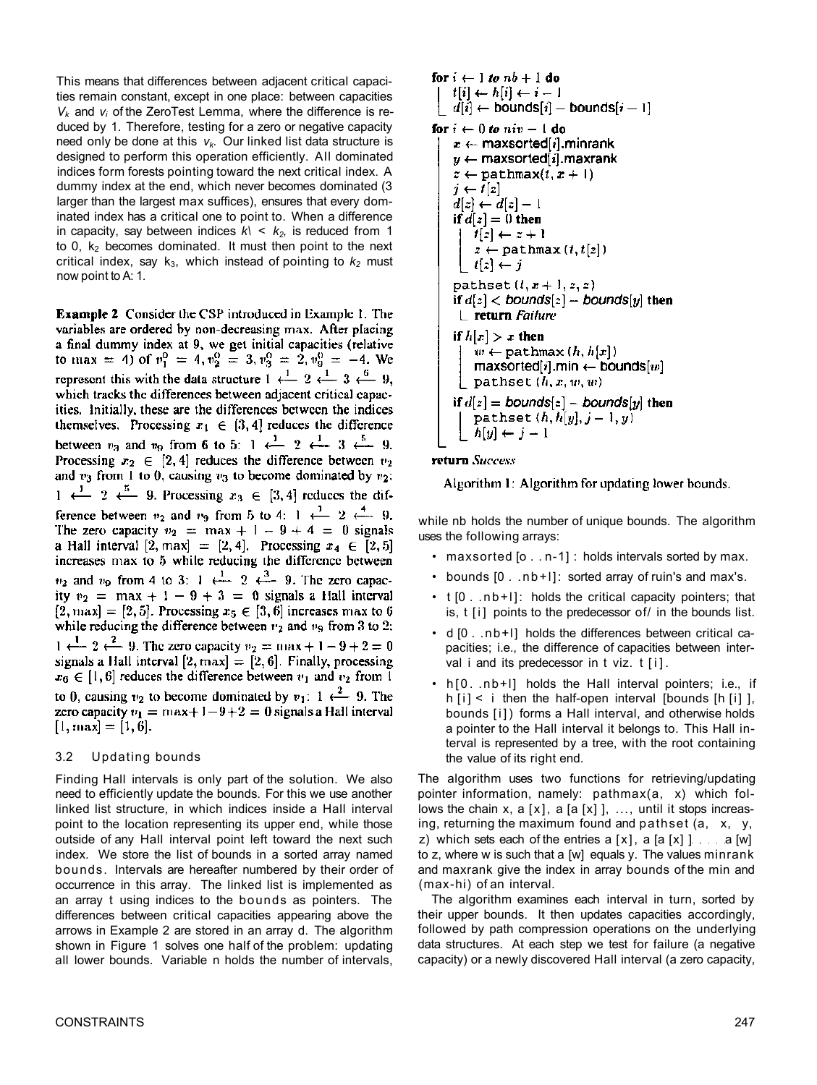This means that differences between adjacent critical capacities remain constant, except in one place: between capacities *Vk* and *vi* of the ZeroTest Lemma, where the difference is reduced by 1. Therefore, testing for a zero or negative capacity need only be done at this *vk.* Our linked list data structure is designed to perform this operation efficiently. All dominated indices form forests pointing toward the next critical index. A dummy index at the end, which never becomes dominated (3 larger than the largest max suffices), ensures that every dominated index has a critical one to point to. When a difference in capacity, say between indices  $k \leq k_2$ , is reduced from 1 to 0,  $k_2$  becomes dominated. It must then point to the next critical index, say  $k_3$ , which instead of pointing to  $k_2$  must now point to A: 1.

**Example 2** Consider the CSP introduced in Example 1. The variables are ordered by non-decreasing max. After placing a final dummy index at 9, we get initial capacities (relative to max = 4) of  $v_1^0 = 4$ ,  $v_2^0 = 3$ ,  $v_3^0 = 2$ ,  $v_9^0 = -4$ . We represent this with the data structure  $1 \leftarrow 2 \leftarrow 3 \leftarrow 9$ , which tracks the differences between adjacent critical capacities. Initially, these are the differences between the indices themselves. Processing  $x_1 \in [3, 4]$  reduces the difference between  $v_3$  and  $v_9$  from 6 to 5: 1  $\leftarrow$  2  $\leftarrow$  3  $\leftarrow$  9. Processing  $x_2 \in [2, 4]$  reduces the difference between  $v_2$ and  $v_3$  from 1 to 0, causing  $v_3$  to become dominated by  $v_2$ :  $1 \leftarrow 2 \leftarrow 5$  9. Processing  $x_3 \in [3, 4]$  reduces the difference between  $v_2$  and  $v_9$  from 5 to 4: 1  $\leftarrow$  2  $\leftarrow$  9. The zero capacity  $v_2 = \max + 1 - 9 + 4 = 0$  signals a Hall interval  $[2, max] = [2, 4]$ . Processing  $x_4 \in [2, 5]$ increases max to 5 while reducing the difference between  $v_2$  and  $v_9$  from 4 to 3: 1  $\leftarrow$   $\frac{1}{2}$   $\leftarrow$  9. The zero capacity  $v_2 = \max + 1 - 9 + 3 = 0$  signals a Hall interval  $[2, max] = [2, 5]$ . Processing  $x_5 \in [3, 6]$  increases max to 6 while reducing the difference between  $v_2$  and  $v_9$  from 3 to 2.  $1 \leftarrow 2 \leftarrow 9$ . The zero capacity  $v_2 = \max + 1 - 9 + 2 = 0$ signals a Hall interval  $[2, max] = [2, 6]$ . Finally, processing  $x_6 \in [1, 6]$  reduces the difference between  $v_1$  and  $v_2$  from 1 to 0, causing  $v_2$  to become dominated by  $v_1$ : 1  $\leftarrow$  9. The zero capacity  $v_1 = \max + 1 - 9 + 2 = 0$  signals a Hall interval  $[1, max] = [1, 6].$ 

#### 3.2 Updating bounds

Finding Hall intervals is only part of the solution. We also need to efficiently update the bounds. For this we use another linked list structure, in which indices inside a Hall interval point to the location representing its upper end, while those outside of any Hall interval point left toward the next such index. We store the list of bounds in a sorted array named bounds. Intervals are hereafter numbered by their order of occurrence in this array. The linked list is implemented as an array t using indices to the bounds as pointers. The differences between critical capacities appearing above the arrows in Example 2 are stored in an array d. The algorithm shown in Figure 1 solves one half of the problem: updating all lower bounds. Variable n holds the number of intervals,

```
for i \leftarrow 1 to nb + 1 do
t[i] \leftarrow h[i] \leftarrow i-1\hat{d}[i] \leftarrow bounds[i] – bounds[i-1]for i \leftarrow 0 to niv - 1 do
x \leftarrow maxsorted[i], minrank
y \leftarrow maxsorted[i].maxrank
z \leftarrow \text{pathmax}(t, x + 1)j \leftarrow t[i]d[z] \leftarrow d[z] - 1if d[z] = 0 then
    t[z] \leftarrow z + 1z \leftarrow \texttt{pathmax}(t, t[z])t[z] \leftarrow jpathset (t, x + 1, z, z)if d[z] < bounds[2] – bounds[y] then
 L return Failure
if h[x] > x then
     w \leftarrow pathmax (h, h[x])maxsorted[i].min \leftarrow bounds[w]
    pathset (h, x, w, w)if d[z] = \text{bounds}[z] - \text{bounds}[y] then
    pathset (h, h[y], j-1, y)h[y] \leftarrow j - 1
```
#### return Success

Algorithm 1: Algorithm for updating lower bounds.

while nb holds the number of unique bounds. The algorithm uses the following arrays:

- maxsorted [o . . n-1] : holds intervals sorted by max.
- bounds [0 . .nb+l]: sorted array of ruin's and max's.
- t [0 . .nb+l]: holds the critical capacity pointers; that is,  $t[i]$  points to the predecessor of  $\ell$  in the bounds list.
- d [0 . .nb+l] holds the differences between critical capacities; i.e., the difference of capacities between interval i and its predecessor in t viz. t [i].
- h[0. .nb+l] holds the Hall interval pointers; i.e., if  $h[i] < i$  then the half-open interval [bounds [h [i]], bounds [i]) forms a Hall interval, and otherwise holds a pointer to the Hall interval it belongs to. This Hall interval is represented by a tree, with the root containing the value of its right end.

The algorithm uses two functions for retrieving/updating pointer information, namely: pathmax(a, x) which follows the chain x, a  $[x]$ , a  $[a [x]$ , ..., until it stops increasing, returning the maximum found and pathset (a, x, y, z) which sets each of the entries  $a [x]$ ,  $a [a [x] ]$   $a [w]$ to z, where w is such that a [w] equals y. The values minrank and maxrank give the index in array bounds of the min and (max-hi) of an interval.

The algorithm examines each interval in turn, sorted by their upper bounds. It then updates capacities accordingly, followed by path compression operations on the underlying data structures. At each step we test for failure (a negative capacity) or a newly discovered Hall interval (a zero capacity,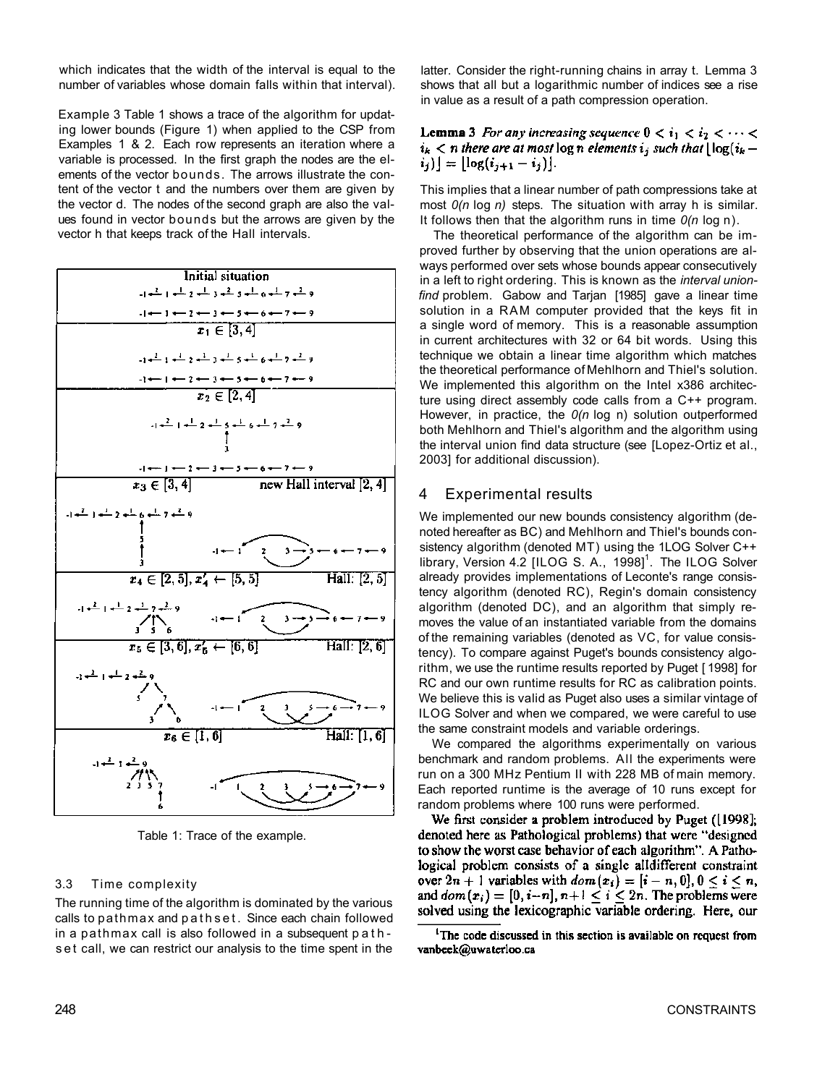which indicates that the width of the interval is equal to the number of variables whose domain falls within that interval).

Example 3 Table 1 shows a trace of the algorithm for updating lower bounds (Figure 1) when applied to the CSP from Examples 1 & 2. Each row represents an iteration where a variable is processed. In the first graph the nodes are the elements of the vector bounds. The arrows illustrate the content of the vector t and the numbers over them are given by the vector d. The nodes of the second graph are also the values found in vector bounds but the arrows are given by the vector h that keeps track of the Hall intervals.



Table 1: Trace of the example.

#### 3.3 Time complexity

The running time of the algorithm is dominated by the various calls to pathmax and pathset . Since each chain followed in a pathmax call is also followed in a subsequent path s et call, we can restrict our analysis to the time spent in the

latter. Consider the right-running chains in array t. Lemma 3 shows that all but a logarithmic number of indices see a rise in value as a result of a path compression operation.

**Lemma 3** For any increasing sequence  $0 < i_1 < i_2 < \cdots <$  $i_k < n$  there are at most log n elements  $i_j$  such that  $\lfloor \log(i_k - n) \rfloor$  $[i_j]$  =  $\lfloor \log(i_{j+1} - i_j) \rfloor$ .

This implies that a linear number of path compressions take at most *0(n* log *n)* steps. The situation with array h is similar. It follows then that the algorithm runs in time *0(n* log n).

The theoretical performance of the algorithm can be improved further by observing that the union operations are always performed over sets whose bounds appear consecutively in a left to right ordering. This is known as the *interval unionfind* problem. Gabow and Tarjan [1985] gave a linear time solution in a RAM computer provided that the keys fit in a single word of memory. This is a reasonable assumption in current architectures with 32 or 64 bit words. Using this technique we obtain a linear time algorithm which matches the theoretical performance of Mehlhorn and Thiel's solution. We implemented this algorithm on the Intel x386 architecture using direct assembly code calls from a C++ program. However, in practice, the *0(n* log n) solution outperformed both Mehlhorn and Thiel's algorithm and the algorithm using the interval union find data structure (see [Lopez-Ortiz et al., 2003] for additional discussion).

### 4 Experimental results

We implemented our new bounds consistency algorithm (denoted hereafter as BC) and Mehlhorn and Thiel's bounds consistency algorithm (denoted MT) using the 1LOG Solver C++ library, Version 4.2 [ILOG S. A., 1998]<sup>1</sup>. The ILOG Solver already provides implementations of Leconte's range consistency algorithm (denoted RC), Regin's domain consistency algorithm (denoted DC), and an algorithm that simply removes the value of an instantiated variable from the domains of the remaining variables (denoted as VC, for value consistency). To compare against Puget's bounds consistency algorithm, we use the runtime results reported by Puget [ 1998] for RC and our own runtime results for RC as calibration points. We believe this is valid as Puget also uses a similar vintage of ILOG Solver and when we compared, we were careful to use the same constraint models and variable orderings.

We compared the algorithms experimentally on various benchmark and random problems. All the experiments were run on a 300 MHz Pentium II with 228 MB of main memory. Each reported runtime is the average of 10 runs except for random problems where 100 runs were performed.<br>We first consider a problem introduced by Puget ([1998];

denoted here as Pathological problems) that were "designed to show the worst case behavior of each algorithm". A Pathological problem consists of a single all different constraint over  $2n + 1$  variables with  $dom(x_i) = [i - n, 0], 0 \le i \le n$ , and  $dom(x_i) = [0, i-n], n+1 \le i \le 2n$ . The problems were solved using the lexicographic variable ordering. Here, our

<sup>&</sup>lt;sup>1</sup>The code discussed in this section is available on request from vanbeek@uwaterloo.ca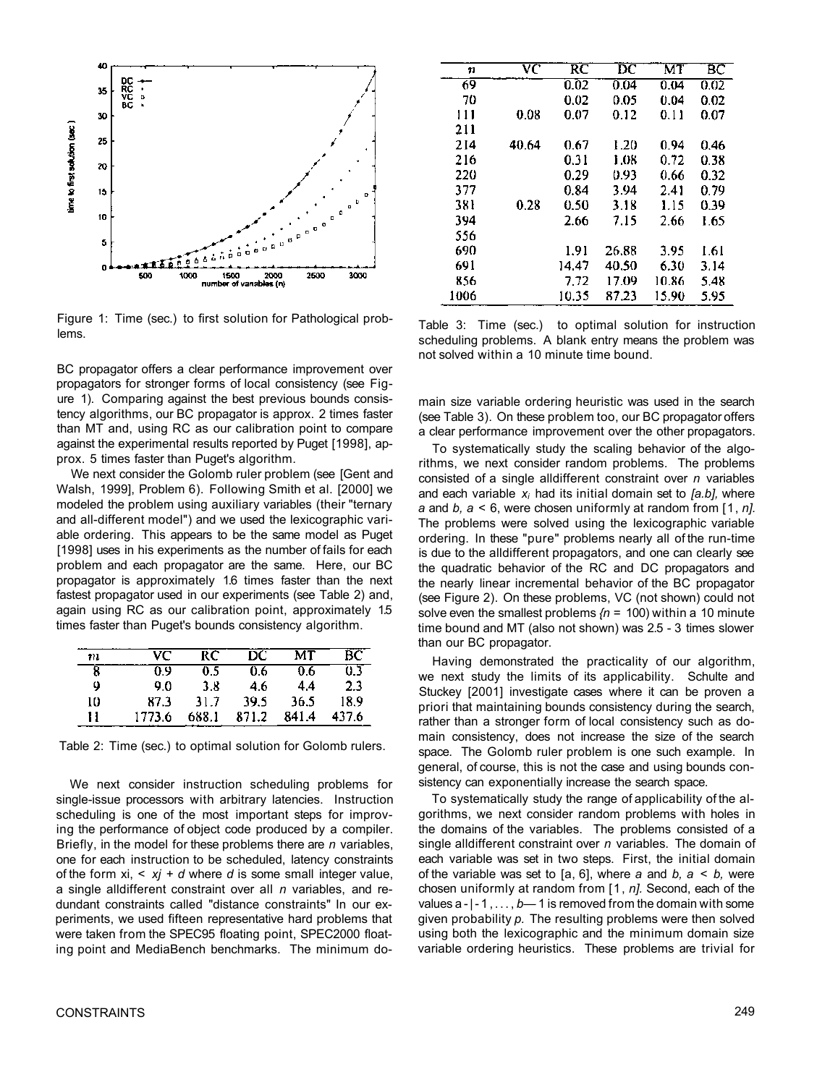

Figure 1: Time (sec.) to first solution for Pathological problems.

BC propagator offers a clear performance improvement over propagators for stronger forms of local consistency (see Figure 1). Comparing against the best previous bounds consistency algorithms, our BC propagator is approx. 2 times faster than MT and, using RC as our calibration point to compare against the experimental results reported by Puget [1998], approx. 5 times faster than Puget's algorithm.

We next consider the Golomb ruler problem (see [Gent and Walsh, 1999], Problem 6). Following Smith et al. [2000] we modeled the problem using auxiliary variables (their "ternary and all-different model") and we used the lexicographic variable ordering. This appears to be the same model as Puget [1998] uses in his experiments as the number of fails for each problem and each propagator are the same. Here, our BC propagator is approximately 1.6 times faster than the next fastest propagator used in our experiments (see Table 2) and, again using RC as our calibration point, approximately 1.5 times faster than Puget's bounds consistency algorithm.

| 771 | VC.    | RC    | DC.   | мт    | BС    |
|-----|--------|-------|-------|-------|-------|
| 8   | 0 9    | 0 S   | 0.6   | 06.   | 0 Z   |
| 4   | 9.0    | 3.8   | 46    | 44    | 23    |
| 10  | 87.3   | 31.7  | 39.5  | 36.5  | 18.9  |
| 11  | 1773.6 | 688.1 | 871.2 | 841.4 | 437.6 |

Table 2: Time (sec.) to optimal solution for Golomb rulers.

We next consider instruction scheduling problems for single-issue processors with arbitrary latencies. Instruction scheduling is one of the most important steps for improving the performance of object code produced by a compiler. Briefly, in the model for these problems there are *n* variables, one for each instruction to be scheduled, latency constraints of the form xi, < *xj* + *d* where *d* is some small integer value, a single alldifferent constraint over all *n* variables, and redundant constraints called "distance constraints" In our experiments, we used fifteen representative hard problems that were taken from the SPEC95 floating point, SPEC2000 floating point and MediaBench benchmarks. The minimum do-

| 11   | vc    | RC    | $\overline{\rm DC}$ | MT    | ВC   |
|------|-------|-------|---------------------|-------|------|
| 69   |       | 0.02  | 0.04                | 0.04  | 0.02 |
| 70   |       | 0.02  | 0.05                | 0.04  | 0.02 |
| 111  | 0.08  | 0.07  | 0.12                | 0.11  | 0.07 |
| 211  |       |       |                     |       |      |
| 214  | 40.64 | 0.67  | 1.20                | 0.94  | 0.46 |
| 216  |       | 0.31  | 1.08                | 0.72  | 0.38 |
| 220  |       | 0.29  | 0.93                | 0.66  | 0.32 |
| 377  |       | 0.84  | 3.94                | 2.41  | 0.79 |
| 381  | 0.28  | 0.50  | 3.18                | 1.15  | 0.39 |
| 394  |       | 2.66  | 7.15                | 2.66  | 1.65 |
| 556  |       |       |                     |       |      |
| 690  |       | 1.91  | 26.88               | 3.95  | 1.61 |
| 691  |       | 14.47 | 40.50               | 6.30  | 3.14 |
| 856  |       | 7.72  | 17.09               | 10.86 | 5.48 |
| 1006 |       | 10.35 | 87.23               | 15.90 | 5.95 |

Table 3: Time (sec.) to optimal solution for instruction scheduling problems. A blank entry means the problem was not solved within a 10 minute time bound.

main size variable ordering heuristic was used in the search (see Table 3). On these problem too, our BC propagator offers a clear performance improvement over the other propagators.

To systematically study the scaling behavior of the algorithms, we next consider random problems. The problems consisted of a single alldifferent constraint over *n* variables and each variable *xi* had its initial domain set to *[a.b],* where *a* and *b, a <* 6, were chosen uniformly at random from [1, *n].*  The problems were solved using the lexicographic variable ordering. In these "pure" problems nearly all of the run-time is due to the alldifferent propagators, and one can clearly see the quadratic behavior of the RC and DC propagators and the nearly linear incremental behavior of the BC propagator (see Figure 2). On these problems, VC (not shown) could not solve even the smallest problems *{n* = 100) within a 10 minute time bound and MT (also not shown) was 2.5 - 3 times slower than our BC propagator.

Having demonstrated the practicality of our algorithm, we next study the limits of its applicability. Schulte and Stuckey [2001] investigate cases where it can be proven a priori that maintaining bounds consistency during the search, rather than a stronger form of local consistency such as domain consistency, does not increase the size of the search space. The Golomb ruler problem is one such example. In general, of course, this is not the case and using bounds consistency can exponentially increase the search space.

To systematically study the range of applicability of the algorithms, we next consider random problems with holes in the domains of the variables. The problems consisted of a single alldifferent constraint over *n* variables. The domain of each variable was set in two steps. First, the initial domain of the variable was set to [a, 6], where *a* and *b, a < b,* were chosen uniformly at random from [1, *n].* Second, each of the values a-|-1,... , *b—* 1 is removed from the domain with some given probability *p.* The resulting problems were then solved using both the lexicographic and the minimum domain size variable ordering heuristics. These problems are trivial for